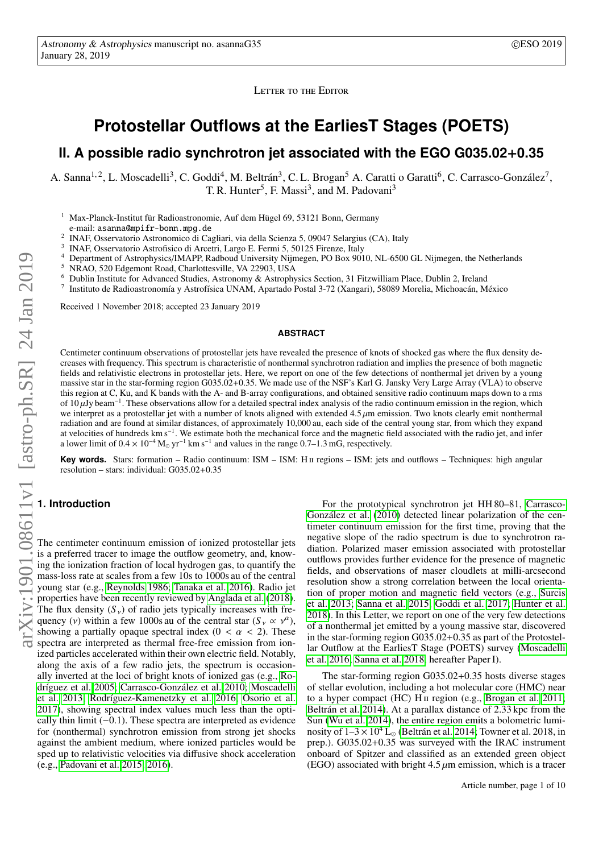LETTER TO THE EDITOR

# **Protostellar Outflows at the EarliesT Stages (POETS)**

## **II. A possible radio synchrotron jet associated with the EGO G035.02**+**0.35**

A. Sanna<sup>1, 2</sup>, L. Moscadelli<sup>3</sup>, C. Goddi<sup>4</sup>, M. Beltrán<sup>3</sup>, C. L. Brogan<sup>5</sup> A. Caratti o Garatti<sup>6</sup>, C. Carrasco-González<sup>7</sup>, T. R. Hunter<sup>5</sup>, F. Massi<sup>3</sup>, and M. Padovani<sup>3</sup>

<sup>1</sup> Max-Planck-Institut für Radioastronomie, Auf dem Hügel 69, 53121 Bonn, Germany

e-mail: asanna@mpifr-bonn.mpg.de 2

INAF, Osservatorio Astronomico di Cagliari, via della Scienza 5, 09047 Selargius (CA), Italy

- 3 INAF, Osservatorio Astrofisico di Arcetri, Largo E. Fermi 5, 50125 Firenze, Italy
- <sup>4</sup> Department of Astrophysics/IMAPP, Radboud University Nijmegen, PO Box 9010, NL-6500 GL Nijmegen, the Netherlands
- <sup>5</sup> NRAO, 520 Edgemont Road, Charlottesville, VA 22903, USA
- <sup>6</sup> Dublin Institute for Advanced Studies, Astronomy & Astrophysics Section, 31 Fitzwilliam Place, Dublin 2, Ireland
- 7 Instituto de Radioastronomía y Astrofísica UNAM, Apartado Postal 3-72 (Xangari), 58089 Morelia, Michoacán, México

Received 1 November 2018; accepted 23 January 2019

#### **ABSTRACT**

Centimeter continuum observations of protostellar jets have revealed the presence of knots of shocked gas where the flux density decreases with frequency. This spectrum is characteristic of nonthermal synchrotron radiation and implies the presence of both magnetic fields and relativistic electrons in protostellar jets. Here, we report on one of the few detections of nonthermal jet driven by a young massive star in the star-forming region G035.02+0.35. We made use of the NSF's Karl G. Jansky Very Large Array (VLA) to observe this region at C, Ku, and K bands with the A- and B-array configurations, and obtained sensitive radio continuum maps down to a rms of 10  $\mu$ Jy beam<sup>-1</sup><br>we interpret as a of  $10 \mu Jy$  beam<sup>-1</sup>. These observations allow for a detailed spectral index analysis of the radio continuum emission in the region, which we interpret as a protostellar jet with a number of knots aligned with extended  $4.5 \mu m$  emission. Two knots clearly emit nonthermal radiation and are found at similar distances, of approximately 10,000 au, each side of the central young star, from which they expand at velocities of hundreds km s<sup>−1</sup>. We estimate both the mechanical force and the magnetic field associated with the radio jet, and infer a lower limit of  $0.4 \times 10^{-4}$  M<sub>o</sub> yr<sup>-1</sup> km s<sup>-1</sup> and values in the range 0.7–1.3 mG, respectively.

**Key words.** Stars: formation – Radio continuum: ISM – ISM: H<sub>II</sub> regions – ISM: jets and outflows – Techniques: high angular resolution – stars: individual: G035.02+0.35

#### **1. Introduction**

The centimeter continuum emission of ionized protostellar jets is a preferred tracer to image the outflow geometry, and, knowing the ionization fraction of local hydrogen gas, to quantify the mass-loss rate at scales from a few 10s to 1000s au of the central young star (e.g., [Reynolds 1986;](#page-4-0) [Tanaka et al. 2016\)](#page-4-1). Radio jet properties have been recently reviewed by [Anglada et al.](#page-4-2) [\(2018\)](#page-4-2). The flux density  $(S_y)$  of radio jets typically increases with frequency (*v*) within a few 1000s au of the central star  $(S_v \propto v^{\alpha})$ ,<br>showing a partially opaque spectral index  $(0 < \alpha < 2)$ . These showing a partially opaque spectral index ( $0 < \alpha < 2$ ). These spectra are interpreted as thermal free-free emission from ionized particles accelerated within their own electric field. Notably, along the axis of a few radio jets, the spectrum is occasionally inverted at the loci of bright knots of ionized gas (e.g., [Ro](#page-4-3)[dríguez et al. 2005;](#page-4-3) [Carrasco-González et al. 2010;](#page-4-4) [Moscadelli](#page-4-5) [et al. 2013;](#page-4-5) [Rodríguez-Kamenetzky et al. 2016;](#page-4-6) [Osorio et al.](#page-4-7) [2017\)](#page-4-7), showing spectral index values much less than the optically thin limit (−0.1). These spectra are interpreted as evidence for (nonthermal) synchrotron emission from strong jet shocks against the ambient medium, where ionized particles would be sped up to relativistic velocities via diffusive shock acceleration (e.g., [Padovani et al. 2015,](#page-4-8) [2016\)](#page-4-9).

For the prototypical synchrotron jet HH 80–81, [Carrasco-](#page-4-4)[González et al.](#page-4-4) [\(2010\)](#page-4-4) detected linear polarization of the centimeter continuum emission for the first time, proving that the negative slope of the radio spectrum is due to synchrotron radiation. Polarized maser emission associated with protostellar outflows provides further evidence for the presence of magnetic fields, and observations of maser cloudlets at milli-arcsecond resolution show a strong correlation between the local orientation of proper motion and magnetic field vectors (e.g., [Surcis](#page-4-10) [et al. 2013;](#page-4-10) [Sanna et al. 2015;](#page-4-11) [Goddi et al. 2017;](#page-4-12) [Hunter et al.](#page-4-13) [2018\)](#page-4-13). In this Letter, we report on one of the very few detections of a nonthermal jet emitted by a young massive star, discovered in the star-forming region G035.02+0.35 as part of the Protostellar Outflow at the EarliesT Stage (POETS) survey [\(Moscadelli](#page-4-14) [et al. 2016;](#page-4-14) [Sanna et al. 2018,](#page-4-15) hereafter Paper I).

The star-forming region G035.02+0.35 hosts diverse stages of stellar evolution, including a hot molecular core (HMC) near to a hyper compact (HC) H<sub>II</sub> region (e.g., [Brogan et al. 2011;](#page-4-16) [Beltrán et al. 2014\)](#page-4-17). At a parallax distance of 2.33 kpc from the Sun [\(Wu et al. 2014\)](#page-4-18), the entire region emits a bolometric luminosity of  $1-3 \times 10^4$  L<sub>o</sub> [\(Beltrán et al. 2014;](#page-4-17) Towner et al. 2018, in prep.). G035.02+0.35 was surveyed with the IRAC instrument onboard of Spitzer and classified as an extended green object (EGO) associated with bright  $4.5 \mu m$  emission, which is a tracer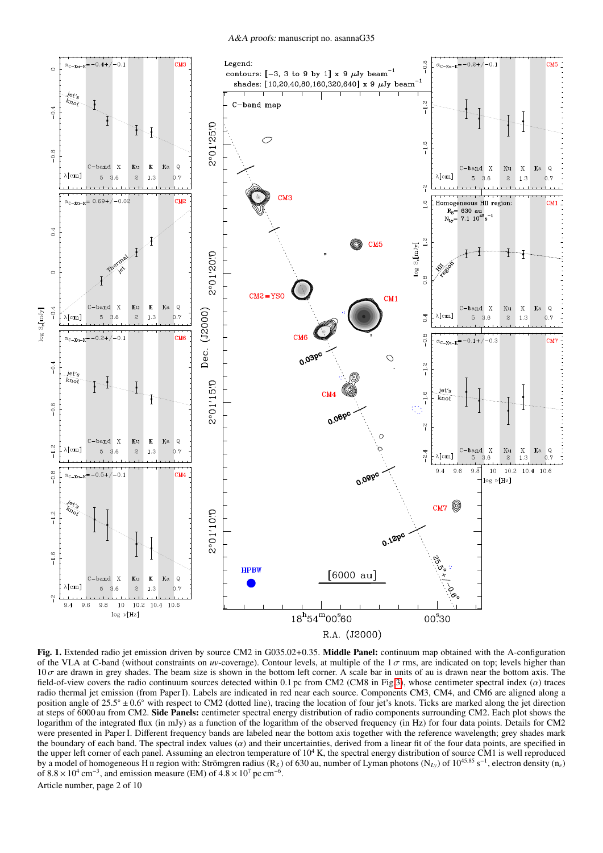A&A proofs: manuscript no. asannaG35



<span id="page-1-0"></span>Fig. 1. Extended radio jet emission driven by source CM2 in G035.02+0.35. Middle Panel: continuum map obtained with the A-configuration of the VLA at C-band (without constraints on *uv*-coverage). Contour levels, at multiple of the  $1\sigma$  rms, are indicated on top; levels higher than  $10\sigma$  are drawn in grey shades. The beam size is shown in the bottom left corner. A scale bar in units of au is drawn near the bottom axis. The field-of-view covers the radio continuum sources detected within 0.1 pc from CM2 (CM8 in Fig[.3\)](#page-8-0), whose centimeter spectral index (α) traces radio thermal jet emission (from Paper I). Labels are indicated in red near each source. Components CM3, CM4, and CM6 are aligned along a position angle of 25.5° ± 0.6° with respect to CM2 (dotted line), tracing the location of four jet's knots. Ticks are marked along the jet direction at steps of 6000 au from CM2. Side Panels: centimeter spectral energy distribution of radio components surrounding CM2. Each plot shows the logarithm of the integrated flux (in mJy) as a function of the logarithm of the observed frequency (in Hz) for four data points. Details for CM2 were presented in Paper I. Different frequency bands are labeled near the bottom axis together with the reference wavelength; grey shades mark the boundary of each band. The spectral index values  $\alpha$  and their uncertainties, derived from a linear fit of the four data points, are specified in the upper left corner of each panel. Assuming an electron temperature of  $10^4$  K, the spectral energy distribution of source CM1 is well reproduced by a model of homogeneous H<sub>II</sub> region with: Strömgren radius (R<sub>S</sub>) of 630 au, number of Lyman photons (N<sub>Ly</sub>) of 10<sup>45.85</sup> s<sup>-1</sup>, electron density (n<sub>e</sub>) of  $8.8 \times 10^4$  cm<sup>-3</sup>, and emission measure (EM) of  $4.8 \times 10^7$  pc cm<sup>-6</sup>. Article number, page 2 of 10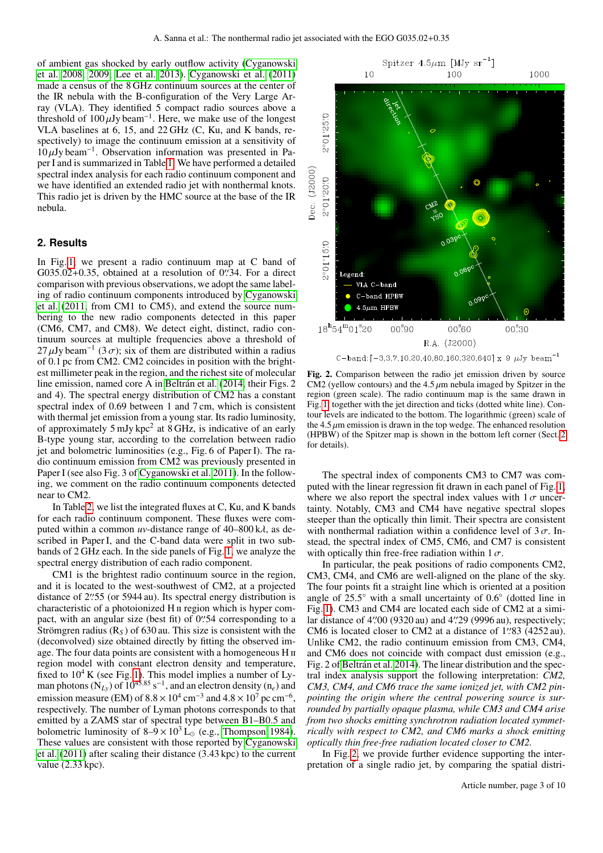of ambient gas shocked by early outflow activity [\(Cyganowski](#page-4-19) [et al. 2008,](#page-4-19) [2009;](#page-4-20) [Lee et al. 2013\)](#page-4-21). [Cyganowski et al.](#page-4-22) [\(2011\)](#page-4-22) made a census of the 8 GHz continuum sources at the center of the IR nebula with the B-configuration of the Very Large Array (VLA). They identified 5 compact radio sources above a threshold of  $100 \mu Jy$  beam<sup>-1</sup>. Here, we make use of the longest<br>VLA baselines at 6, 15, and 22 GHz (C, Ku, and K, bands, re-VLA baselines at 6, 15, and 22 GHz (C, Ku, and K bands, respectively) to image the continuum emission at a sensitivity of  $10 \mu$ Jy beam<sup>-1</sup>. Observation information was presented in Pa-<br>per Land is summarized in Table 1. We have performed a detailed per I and is summarized in Table [1.](#page-8-1) We have performed a detailed spectral index analysis for each radio continuum component and we have identified an extended radio jet with nonthermal knots. This radio jet is driven by the HMC source at the base of the IR nebula.

#### <span id="page-2-0"></span>**2. Results**

In Fig. [1,](#page-1-0) we present a radio continuum map at C band of  $G035.02+0.35$ , obtained at a resolution of 0''. Square a direct comparison with previous observations we adopt the same labelcomparison with previous observations, we adopt the same labeling of radio continuum components introduced by [Cyganowski](#page-4-22) [et al.](#page-4-22) [\(2011,](#page-4-22) from CM1 to CM5), and extend the source numbering to the new radio components detected in this paper (CM6, CM7, and CM8). We detect eight, distinct, radio continuum sources at multiple frequencies above a threshold of 27  $\mu$ Jy beam<sup>-1</sup> (3 $\sigma$ ); six of them are distributed within a radius of 0.1 pc from CM2. CM2 coincides in position with the brightof 0.1 pc from CM2. CM2 coincides in position with the brightest millimeter peak in the region, and the richest site of molecular line emission, named core A in [Beltrán et al.](#page-4-17) [\(2014,](#page-4-17) their Figs. 2 and 4). The spectral energy distribution of CM2 has a constant spectral index of 0.69 between 1 and 7 cm, which is consistent with thermal jet emission from a young star. Its radio luminosity, of approximately 5 mJy kpc<sup>2</sup> at 8 GHz, is indicative of an early B-type young star, according to the correlation between radio jet and bolometric luminosities (e.g., Fig. 6 of Paper I). The radio continuum emission from CM2 was previously presented in Paper I (see also Fig. 3 of [Cyganowski et al. 2011\)](#page-4-22). In the following, we comment on the radio continuum components detected near to CM2.

In Table [2,](#page-9-0) we list the integrated fluxes at C, Ku, and K bands for each radio continuum component. These fluxes were computed within a common  $uv$ -distance range of  $40-800 \text{ k} \lambda$ , as described in Paper I, and the C-band data were split in two subbands of 2 GHz each. In the side panels of Fig. [1,](#page-1-0) we analyze the spectral energy distribution of each radio component.

CM1 is the brightest radio continuum source in the region, and it is located to the west-southwest of CM2, at a projected distance of 2".55 (or 5944 au). Its spectral energy distribution is characteristic of a photoionized  $H_{\rm II}$  region which is hyper comcharacteristic of a photoionized H<sub>II</sub> region which is hyper compact, with an angular size (best fit) of  $0\frac{754}{5}$  corresponding to a Strömoren radius (R<sub>s</sub>) of 630 au. This size is consistent with the Strömgren radius (R*<sup>S</sup>* ) of 630 au. This size is consistent with the (deconvolved) size obtained directly by fitting the observed image. The four data points are consistent with a homogeneous H  $\scriptstyle\rm II$ region model with constant electron density and temperature, fixed to  $10^4$  K (see Fig. [1\)](#page-1-0). This model implies a number of Lyman photons ( $N_{Ly}$ ) of  $10^{45.85}$  s<sup>-1</sup>, and an electron density ( $n_e$ ) and emission measure (EM) of  $8.8 \times 10^4$  cm<sup>-3</sup> and  $4.8 \times 10^7$  pc cm<sup>-6</sup>, respectively. The number of Lyman photons corresponds to that emitted by a ZAMS star of spectral type between B1–B0.5 and bolometric luminosity of  $8-\overline{9} \times 10^3$  L<sub>o</sub> (e.g., [Thompson 1984\)](#page-4-23). These values are consistent with those reported by [Cyganowski](#page-4-22) [et al.](#page-4-22) [\(2011\)](#page-4-22) after scaling their distance (3.43 kpc) to the current value (2.33 kpc).



<span id="page-2-1"></span>Fig. 2. Comparison between the radio jet emission driven by source CM2 (yellow contours) and the  $4.5 \mu m$  nebula imaged by Spitzer in the region (green scale). The radio continuum map is the same drawn in Fig. [1,](#page-1-0) together with the jet direction and ticks (dotted white line). Contour levels are indicated to the bottom. The logarithmic (green) scale of the  $4.5 \mu$ m emission is drawn in the top wedge. The enhanced resolution (HPBW) of the Spitzer map is shown in the bottom left corner (Sect. [2](#page-2-0) for details).

The spectral index of components CM3 to CM7 was computed with the linear regression fit drawn in each panel of Fig. [1,](#page-1-0) where we also report the spectral index values with  $1\sigma$  uncertainty. Notably, CM3 and CM4 have negative spectral slopes steeper than the optically thin limit. Their spectra are consistent with nonthermal radiation within a confidence level of  $3\sigma$ . Instead, the spectral index of CM5, CM6, and CM7 is consistent with optically thin free-free radiation within  $1\sigma$ .

In particular, the peak positions of radio components CM2, CM3, CM4, and CM6 are well-aligned on the plane of the sky. The four points fit a straight line which is oriented at a position angle of  $25.5°$  with a small uncertainty of  $0.6°$  (dotted line in Fig. [1\)](#page-1-0). CM3 and CM4 are located each side of CM2 at a similar distance of 4''.00 (9320 au) and 4''.29 (9996 au), respectively;<br>CM6 is located closer to CM2 at a distance of 1''83 (4252 au) CM6 is located closer to CM2 at a distance of  $1\frac{983}{4252}$  (4252 au).<br>Unlike CM2, the radio continuum emission from CM3, CM4 Unlike CM2, the radio continuum emission from CM3, CM4, and CM6 does not coincide with compact dust emission (e.g., Fig. 2 of [Beltrán et al. 2014\)](#page-4-17). The linear distribution and the spectral index analysis support the following interpretation: *CM2, CM3, CM4, and CM6 trace the same ionized jet, with CM2 pinpointing the origin where the central powering source is surrounded by partially opaque plasma, while CM3 and CM4 arise from two shocks emitting synchrotron radiation located symmetrically with respect to CM2, and CM6 marks a shock emitting optically thin free-free radiation located closer to CM2.*

In Fig. [2,](#page-2-1) we provide further evidence supporting the interpretation of a single radio jet, by comparing the spatial distri-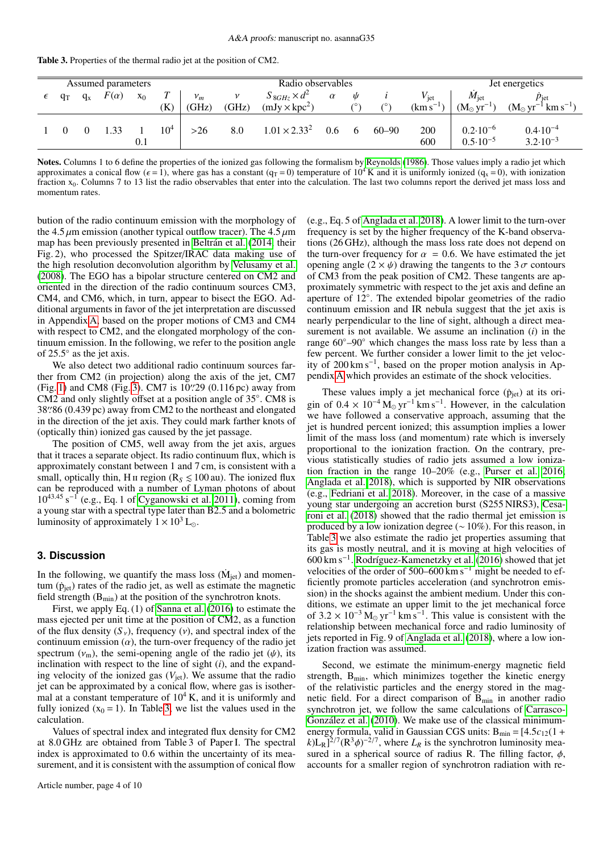<span id="page-3-0"></span>Table 3. Properties of the thermal radio jet at the position of CM2.

| Assumed parameters |       |         |             |       |        |       | Radio observables |                       |          |            |           | Jet energetics |                                            |                                            |
|--------------------|-------|---------|-------------|-------|--------|-------|-------------------|-----------------------|----------|------------|-----------|----------------|--------------------------------------------|--------------------------------------------|
|                    | $q_T$ | $q_{x}$ | $F(\alpha)$ | $X_0$ |        | $v_m$ | $\mathcal V$      | $S_{8GHz} \times d^2$ | $\alpha$ | ψ          |           | $V_{\rm jet}$  | $M_{\rm jet}$                              | $p_{\text{jet}}$                           |
|                    |       |         |             |       | (K)    | (GHz) | (GHz)             | $(mJy \times kpc^2)$  |          | $\sqrt{2}$ | (0)       | $(km s^{-1})$  | $(M_{\odot} yr^{-1})$                      | $(M_{\odot} yr^{-1} km s^{-1})$            |
|                    |       |         |             | 0.1   | $10^4$ | $>26$ | 8.0               | $1.01 \times 2.33^2$  | 0.6      | 6          | $60 - 90$ | 200<br>600     | $0.2 \cdot 10^{-6}$<br>$0.5 \cdot 10^{-5}$ | $0.4 \cdot 10^{-4}$<br>$3.2 \cdot 10^{-3}$ |

Notes. Columns 1 to 6 define the properties of the ionized gas following the formalism by [Reynolds](#page-4-0) [\(1986\)](#page-4-0). Those values imply a radio jet which approximates a conical flow ( $\epsilon = 1$ ), where gas has a constant ( $q_T = 0$ ) temperature of  $10^4$  K and it is uniformly ionized ( $q_x = 0$ ), with ionization fraction x<sub>0</sub>. Columns 7 to 13 list the radio observables that enter into the calculation. The last two columns report the derived jet mass loss and momentum rates.

bution of the radio continuum emission with the morphology of the 4.5  $\mu$ m emission (another typical outflow tracer). The 4.5  $\mu$ m map has been previously presented in [Beltrán et al.](#page-4-17) [\(2014,](#page-4-17) their Fig. 2), who processed the Spitzer/IRAC data making use of the high resolution deconvolution algorithm by [Velusamy et al.](#page-4-24) [\(2008\)](#page-4-24). The EGO has a bipolar structure centered on CM2 and oriented in the direction of the radio continuum sources CM3, CM4, and CM6, which, in turn, appear to bisect the EGO. Additional arguments in favor of the jet interpretation are discussed in Appendix [A,](#page-4-25) based on the proper motions of CM3 and CM4 with respect to CM2, and the elongated morphology of the continuum emission. In the following, we refer to the position angle of 25.5◦ as the jet axis.

We also detect two additional radio continuum sources farther from CM2 (in projection) along the axis of the jet, CM7 (Fig. [1\)](#page-1-0) and CM8 (Fig. [3\)](#page-8-0). CM7 is  $10\frac{29}{2}$  (0.116 pc) away from CM2 and only slightly offset at a position angle of 35° CM8 is CM2 and only slightly offset at a position angle of 35◦ . CM8 is 38''.86 (0.439 pc) away from CM2 to the northeast and elongated in the direction of the jet axis. They could mark farther knots of in the direction of the jet axis. They could mark farther knots of (optically thin) ionized gas caused by the jet passage.

The position of CM5, well away from the jet axis, argues that it traces a separate object. Its radio continuum flux, which is approximately constant between 1 and 7 cm, is consistent with a small, optically thin, H<sub>II</sub> region ( $R_s \le 100$  au). The ionized flux can be reproduced with a number of Lyman photons of about  $10^{43.45}$  s<sup>-1</sup> (e.g., Eq. 1 of [Cyganowski et al. 2011\)](#page-4-22), coming from a young star with a spectral type later than B2.5 and a bolometric luminosity of approximately  $1 \times 10^3$  L<sub>o</sub>.

#### <span id="page-3-1"></span>**3. Discussion**

In the following, we quantify the mass loss  $(M<sub>jet</sub>)$  and momentum  $(\dot{p}_{jet})$  rates of the radio jet, as well as estimate the magnetic field strength  $(B_{min})$  at the position of the synchrotron knots.

First, we apply Eq. (1) of [Sanna et al.](#page-4-26) [\(2016\)](#page-4-26) to estimate the mass ejected per unit time at the position of CM2, as a function of the flux density  $(S_y)$ , frequency  $(v)$ , and spectral index of the continuum emission  $(\alpha)$ , the turn-over frequency of the radio jet spectrum  $(v_m)$ , the semi-opening angle of the radio jet  $(\psi)$ , its inclination with respect to the line of sight (*i*), and the expanding velocity of the ionized gas  $(V_{\text{jet}})$ . We assume that the radio jet can be approximated by a conical flow, where gas is isothermal at a constant temperature of  $10^4$  K, and it is uniformly and fully ionized  $(x_0 = 1)$ . In Table [3,](#page-3-0) we list the values used in the calculation.

Values of spectral index and integrated flux density for CM2 at 8.0 GHz are obtained from Table 3 of Paper I. The spectral index is approximated to 0.6 within the uncertainty of its measurement, and it is consistent with the assumption of conical flow

(e.g., Eq. 5 of [Anglada et al. 2018\)](#page-4-2). A lower limit to the turn-over frequency is set by the higher frequency of the K-band observations (26 GHz), although the mass loss rate does not depend on the turn-over frequency for  $\alpha = 0.6$ . We have estimated the jet opening angle  $(2 \times \psi)$  drawing the tangents to the  $3\sigma$  contours of CM3 from the peak position of CM2. These tangents are approximately symmetric with respect to the jet axis and define an aperture of 12◦ . The extended bipolar geometries of the radio continuum emission and IR nebula suggest that the jet axis is nearly perpendicular to the line of sight, although a direct measurement is not available. We assume an inclination (*i*) in the range 60◦–90◦ which changes the mass loss rate by less than a few percent. We further consider a lower limit to the jet velocity of 200 km s<sup>−</sup><sup>1</sup> , based on the proper motion analysis in Appendix [A](#page-4-25) which provides an estimate of the shock velocities.

These values imply a jet mechanical force  $(\dot{p}_{jet})$  at its origin of  $0.4 \times 10^{-4}$  M<sub>o</sub> yr<sup>-1</sup> km s<sup>-1</sup>. However, in the calculation we have followed a conservative approach assuming that the we have followed a conservative approach, assuming that the jet is hundred percent ionized; this assumption implies a lower limit of the mass loss (and momentum) rate which is inversely proportional to the ionization fraction. On the contrary, previous statistically studies of radio jets assumed a low ionization fraction in the range 10–20% (e.g., [Purser et al. 2016;](#page-4-27) [Anglada et al. 2018\)](#page-4-2), which is supported by NIR observations (e.g., [Fedriani et al. 2018\)](#page-4-28). Moreover, in the case of a massive young star undergoing an accretion burst (S255 NIRS3), [Cesa](#page-4-29)[roni et al.](#page-4-29) [\(2018\)](#page-4-29) showed that the radio thermal jet emission is produced by a low ionization degree (∼ 10%). For this reason, in Table [3](#page-3-0) we also estimate the radio jet properties assuming that its gas is mostly neutral, and it is moving at high velocities of 600 km s<sup>−</sup><sup>1</sup> . [Rodríguez-Kamenetzky et al.](#page-4-6) [\(2016\)](#page-4-6) showed that jet velocities of the order of  $500-600 \text{ km s}^{-1}$  might be needed to efficiently promote particles acceleration (and synchrotron emission) in the shocks against the ambient medium. Under this conditions, we estimate an upper limit to the jet mechanical force of  $3.2 \times 10^{-3}$  M<sub>o</sub> yr<sup>-1</sup> km s<sup>-1</sup>. This value is consistent with the relationship between mechanical force and radio luminosity of relationship between mechanical force and radio luminosity of jets reported in Fig. 9 of [Anglada et al.](#page-4-2) [\(2018\)](#page-4-2), where a low ionization fraction was assumed.

Second, we estimate the minimum-energy magnetic field strength,  $B_{\text{min}}$ , which minimizes together the kinetic energy of the relativistic particles and the energy stored in the magnetic field. For a direct comparison of  $B_{min}$  in another radio synchrotron jet, we follow the same calculations of [Carrasco-](#page-4-4)[González et al.](#page-4-4) [\(2010\)](#page-4-4). We make use of the classical minimumenergy formula, valid in Gaussian CGS units:  $B_{min} = [4.5c_{12}(1 +$  $k$ )L<sub>R</sub>]<sup>2/7</sup>(R<sup>3</sup> $\phi$ )<sup>-2/7</sup>, where *L<sub>R</sub>* is the synchrotron luminosity mea-<br>sured in a spherical source of radius R. The filling factor  $\phi$ sured in a spherical source of radius R. The filling factor,  $\phi$ , accounts for a smaller region of synchrotron radiation with re-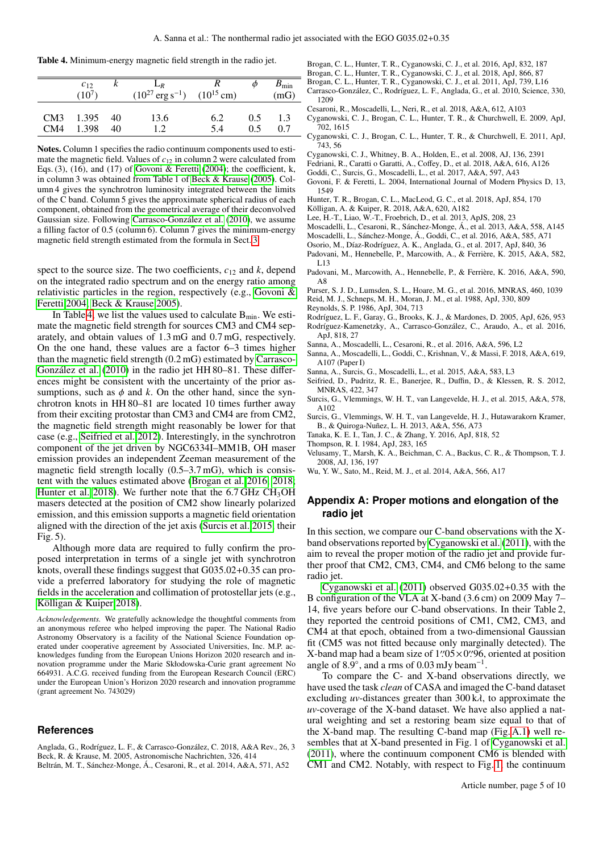<span id="page-4-32"></span>Table 4. Minimum-energy magnetic field strength in the radio jet.

|     | $c_{12}$<br>$(10^7)$ |      | $L_R$<br>$(10^{27} \text{ erg s}^{-1})$ $(10^{15} \text{ cm})$ |     | Ф   | $B_{\rm min}$<br>(mG) |
|-----|----------------------|------|----------------------------------------------------------------|-----|-----|-----------------------|
| CM4 | CM3 1.395            | - 40 | 13.6                                                           | 6.2 | 0.5 | 1.3                   |
|     | 1.398                | 40   | 12                                                             | 5.4 | 0.5 | 0.7                   |

Notes. Column 1 specifies the radio continuum components used to estimate the magnetic field. Values of  $c_{12}$  in column 2 were calculated from Eqs.  $(3)$ ,  $(16)$ , and  $(17)$  of [Govoni & Feretti](#page-4-30)  $(2004)$ ; the coefficient, k, in column 3 was obtained from Table 1 of [Beck & Krause](#page-4-31) [\(2005\)](#page-4-31). Column 4 gives the synchrotron luminosity integrated between the limits of the C band. Column 5 gives the approximate spherical radius of each component, obtained from the geometrical average of their deconvolved Gaussian size. Following [Carrasco-González et al.](#page-4-4) [\(2010\)](#page-4-4), we assume a filling factor of 0.5 (column 6). Column 7 gives the minimum-energy magnetic field strength estimated from the formula in Sect. [3.](#page-3-1)

spect to the source size. The two coefficients,  $c_{12}$  and  $k$ , depend on the integrated radio spectrum and on the energy ratio among relativistic particles in the region, respectively (e.g., [Govoni &](#page-4-30) [Feretti 2004;](#page-4-30) [Beck & Krause 2005\)](#page-4-31).

In Table [4,](#page-4-32) we list the values used to calculate  $B_{\text{min}}$ . We estimate the magnetic field strength for sources CM3 and CM4 separately, and obtain values of 1.3 mG and 0.7 mG, respectively. On the one hand, these values are a factor 6–3 times higher than the magnetic field strength (0.2 mG) estimated by [Carrasco-](#page-4-4)[González et al.](#page-4-4) [\(2010\)](#page-4-4) in the radio jet HH 80–81. These differences might be consistent with the uncertainty of the prior assumptions, such as  $\phi$  and  $k$ . On the other hand, since the synchrotron knots in HH 80–81 are located 10 times further away from their exciting protostar than CM3 and CM4 are from CM2, the magnetic field strength might reasonably be lower for that case (e.g., [Seifried et al. 2012\)](#page-4-33). Interestingly, in the synchrotron component of the jet driven by NGC6334I–MM1B, OH maser emission provides an independent Zeeman measurement of the magnetic field strength locally (0.5–3.7 mG), which is consistent with the values estimated above [\(Brogan et al. 2016,](#page-4-34) [2018;](#page-4-35) [Hunter et al. 2018\)](#page-4-13). We further note that the  $6.7$  GHz CH<sub>3</sub>OH masers detected at the position of CM2 show linearly polarized emission, and this emission supports a magnetic field orientation aligned with the direction of the jet axis [\(Surcis et al. 2015,](#page-4-36) their Fig. 5).

Although more data are required to fully confirm the proposed interpretation in terms of a single jet with synchrotron knots, overall these findings suggest that G035.02+0.35 can provide a preferred laboratory for studying the role of magnetic fields in the acceleration and collimation of protostellar jets (e.g., [Kölligan & Kuiper 2018\)](#page-4-37).

*Acknowledgements.* We gratefully acknowledge the thoughtful comments from an anonymous referee who helped improving the paper. The National Radio Astronomy Observatory is a facility of the National Science Foundation operated under cooperative agreement by Associated Universities, Inc. M.P. acknowledges funding from the European Unions Horizon 2020 research and innovation programme under the Marie Skłodowska-Curie grant agreement No 664931. A.C.G. received funding from the European Research Council (ERC) under the European Union's Horizon 2020 research and innovation programme (grant agreement No. 743029)

#### **References**

<span id="page-4-31"></span><span id="page-4-17"></span><span id="page-4-2"></span>Anglada, G., Rodríguez, L. F., & Carrasco-González, C. 2018, A&A Rev., 26, 3 Beck, R. & Krause, M. 2005, Astronomische Nachrichten, 326, 414 Beltrán, M. T., Sánchez-Monge, Á., Cesaroni, R., et al. 2014, A&A, 571, A52

<span id="page-4-34"></span>Brogan, C. L., Hunter, T. R., Cyganowski, C. J., et al. 2016, ApJ, 832, 187

- <span id="page-4-35"></span>Brogan, C. L., Hunter, T. R., Cyganowski, C. J., et al. 2018, ApJ, 866, 87
- <span id="page-4-16"></span>Brogan, C. L., Hunter, T. R., Cyganowski, C. J., et al. 2011, ApJ, 739, L16
- <span id="page-4-4"></span>Carrasco-González, C., Rodríguez, L. F., Anglada, G., et al. 2010, Science, 330, 1209
- <span id="page-4-29"></span>Cesaroni, R., Moscadelli, L., Neri, R., et al. 2018, A&A, 612, A103
- <span id="page-4-20"></span>Cyganowski, C. J., Brogan, C. L., Hunter, T. R., & Churchwell, E. 2009, ApJ, 702, 1615
- <span id="page-4-22"></span>Cyganowski, C. J., Brogan, C. L., Hunter, T. R., & Churchwell, E. 2011, ApJ, 743, 56
- <span id="page-4-19"></span>Cyganowski, C. J., Whitney, B. A., Holden, E., et al. 2008, AJ, 136, 2391
- <span id="page-4-28"></span>Fedriani, R., Caratti o Garatti, A., Coffey, D., et al. 2018, A&A, 616, A126
- <span id="page-4-12"></span>Goddi, C., Surcis, G., Moscadelli, L., et al. 2017, A&A, 597, A43
- <span id="page-4-30"></span>Govoni, F. & Feretti, L. 2004, International Journal of Modern Physics D, 13, 1549
- <span id="page-4-13"></span>Hunter, T. R., Brogan, C. L., MacLeod, G. C., et al. 2018, ApJ, 854, 170
- <span id="page-4-37"></span>Kölligan, A. & Kuiper, R. 2018, A&A, 620, A182
- <span id="page-4-21"></span>Lee, H.-T., Liao, W.-T., Froebrich, D., et al. 2013, ApJS, 208, 23
- <span id="page-4-5"></span>Moscadelli, L., Cesaroni, R., Sánchez-Monge, Á., et al. 2013, A&A, 558, A145
- <span id="page-4-14"></span>Moscadelli, L., Sánchez-Monge, Á., Goddi, C., et al. 2016, A&A, 585, A71
- <span id="page-4-7"></span>Osorio, M., Díaz-Rodríguez, A. K., Anglada, G., et al. 2017, ApJ, 840, 36
- <span id="page-4-8"></span>Padovani, M., Hennebelle, P., Marcowith, A., & Ferrière, K. 2015, A&A, 582, L13
- <span id="page-4-9"></span>Padovani, M., Marcowith, A., Hennebelle, P., & Ferrière, K. 2016, A&A, 590, A8
- <span id="page-4-38"></span><span id="page-4-27"></span>Purser, S. J. D., Lumsden, S. L., Hoare, M. G., et al. 2016, MNRAS, 460, 1039 Reid, M. J., Schneps, M. H., Moran, J. M., et al. 1988, ApJ, 330, 809
- <span id="page-4-0"></span>Reynolds, S. P. 1986, ApJ, 304, 713
- <span id="page-4-6"></span><span id="page-4-3"></span>Rodríguez, L. F., Garay, G., Brooks, K. J., & Mardones, D. 2005, ApJ, 626, 953 Rodríguez-Kamenetzky, A., Carrasco-González, C., Araudo, A., et al. 2016, ApJ, 818, 27
- <span id="page-4-26"></span>Sanna, A., Moscadelli, L., Cesaroni, R., et al. 2016, A&A, 596, L2
- <span id="page-4-15"></span>Sanna, A., Moscadelli, L., Goddi, C., Krishnan, V., & Massi, F. 2018, A&A, 619,
- A107 (Paper I)
- <span id="page-4-11"></span>Sanna, A., Surcis, G., Moscadelli, L., et al. 2015, A&A, 583, L3
- <span id="page-4-33"></span>Seifried, D., Pudritz, R. E., Banerjee, R., Duffin, D., & Klessen, R. S. 2012, MNRAS, 422, 347
- <span id="page-4-36"></span>Surcis, G., Vlemmings, W. H. T., van Langevelde, H. J., et al. 2015, A&A, 578, A102
- <span id="page-4-10"></span>Surcis, G., Vlemmings, W. H. T., van Langevelde, H. J., Hutawarakorn Kramer, B., & Quiroga-Nuñez, L. H. 2013, A&A, 556, A73
- <span id="page-4-1"></span>Tanaka, K. E. I., Tan, J. C., & Zhang, Y. 2016, ApJ, 818, 52
- <span id="page-4-23"></span>Thompson, R. I. 1984, ApJ, 283, 165
- <span id="page-4-24"></span>Velusamy, T., Marsh, K. A., Beichman, C. A., Backus, C. R., & Thompson, T. J. 2008, AJ, 136, 197
- <span id="page-4-18"></span>Wu, Y. W., Sato, M., Reid, M. J., et al. 2014, A&A, 566, A17

### <span id="page-4-25"></span>**Appendix A: Proper motions and elongation of the radio jet**

In this section, we compare our C-band observations with the Xband observations reported by [Cyganowski et al.](#page-4-22) [\(2011\)](#page-4-22), with the aim to reveal the proper motion of the radio jet and provide further proof that CM2, CM3, CM4, and CM6 belong to the same radio jet.

[Cyganowski et al.](#page-4-22) [\(2011\)](#page-4-22) observed G035.02+0.35 with the B configuration of the VLA at X-band (3.6 cm) on 2009 May 7– 14, five years before our C-band observations. In their Table 2, they reported the centroid positions of CM1, CM2, CM3, and CM4 at that epoch, obtained from a two-dimensional Gaussian fit (CM5 was not fitted because only marginally detected). The X-band map had a beam size of 1''.05  $\times$ 0''.96, oriented at position<br>angle of 8.9° and a rms of 0.03 mJy beam<sup>-1</sup> angle of  $8.9^\circ$ , and a rms of 0.03 mJy beam<sup>-1</sup><br>To compare the C- and X-band obser .

To compare the C- and X-band observations directly, we have used the task *clean* of CASA and imaged the C-band dataset excluding *uv*-distances greater than 300 kλ, to approximate the *uv*-coverage of the X-band dataset. We have also applied a natural weighting and set a restoring beam size equal to that of the X-band map. The resulting C-band map (Fig. [A.1\)](#page-5-0) well resembles that at X-band presented in Fig. 1 of [Cyganowski et al.](#page-4-22) [\(2011\)](#page-4-22), where the continuum component CM6 is blended with CM1 and CM2. Notably, with respect to Fig. [1,](#page-1-0) the continuum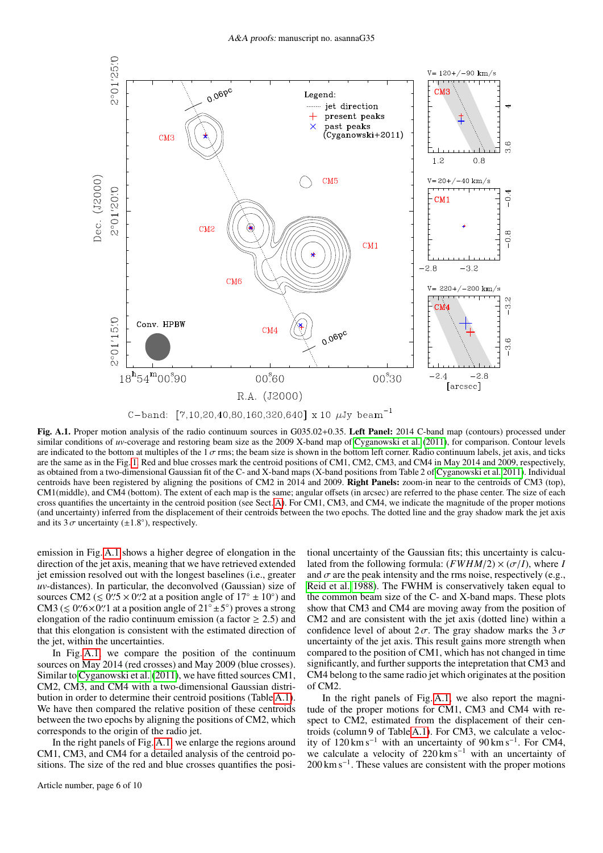

C-band: [7,10,20,40,80,160,320,640] x 10  $\mu$ Jy beam<sup>-1</sup>

<span id="page-5-0"></span>Fig. A.1. Proper motion analysis of the radio continuum sources in G035.02+0.35. Left Panel: 2014 C-band map (contours) processed under similar conditions of *uv*-coverage and restoring beam size as the 2009 X-band map of [Cyganowski et al.](#page-4-22) [\(2011\)](#page-4-22), for comparison. Contour levels are indicated to the bottom at multiples of the  $1\sigma$  rms; the beam size is shown in the bottom left corner. Radio continuum labels, jet axis, and ticks are the same as in the Fig. [1.](#page-1-0) Red and blue crosses mark the centroid positions of CM1, CM2, CM3, and CM4 in May 2014 and 2009, respectively, as obtained from a two-dimensional Gaussian fit of the C- and X-band maps (X-band positions from Table 2 of [Cyganowski et al. 2011\)](#page-4-22). Individual centroids have been registered by aligning the positions of CM2 in 2014 and 2009. Right Panels: zoom-in near to the centroids of CM3 (top), CM1(middle), and CM4 (bottom). The extent of each map is the same; angular offsets (in arcsec) are referred to the phase center. The size of each cross quantifies the uncertainty in the centroid position (see Sect. [A\)](#page-4-25). For CM1, CM3, and CM4, we indicate the magnitude of the proper motions (and uncertainty) inferred from the displacement of their centroids between the two epochs. The dotted line and the gray shadow mark the jet axis and its  $3\sigma$  uncertainty ( $\pm 1.8^{\circ}$ ), respectively.

emission in Fig. [A.1](#page-5-0) shows a higher degree of elongation in the direction of the jet axis, meaning that we have retrieved extended jet emission resolved out with the longest baselines (i.e., greater *uv*-distances). In particular, the deconvolved (Gaussian) size of sources CM2 ( $\leq 0$ ''.  $5 \times 0$ ''. 2 at a position angle of  $17^\circ \pm 10^\circ$ ) and  $\leq 0$ ''.  $6 \times 0$ ''. 1 at a position angle of  $21^\circ \pm 5^\circ$ ) proves a strong CM3 ( $\leq$  0".6×0". Let a position angle of 21°  $\pm$  5°) proves a strong elongation of the radio continuum emission (a factor  $\geq$  2.5) and elongation of the radio continuum emission (a factor  $\geq$  2.5) and that this elongation is consistent with the estimated direction of the jet, within the uncertainties.

In Fig. [A.1,](#page-5-0) we compare the position of the continuum sources on May 2014 (red crosses) and May 2009 (blue crosses). Similar to [Cyganowski et al.](#page-4-22) [\(2011\)](#page-4-22), we have fitted sources CM1, CM2, CM3, and CM4 with a two-dimensional Gaussian distribution in order to determine their centroid positions (Table [A.1\)](#page-7-0). We have then compared the relative position of these centroids between the two epochs by aligning the positions of CM2, which corresponds to the origin of the radio jet.

In the right panels of Fig. [A.1,](#page-5-0) we enlarge the regions around CM1, CM3, and CM4 for a detailed analysis of the centroid positions. The size of the red and blue crosses quantifies the posi-

Article number, page 6 of 10

tional uncertainty of the Gaussian fits; this uncertainty is calculated from the following formula:  $(FWHM/2) \times (\sigma/I)$ , where *I* and  $\sigma$  are the peak intensity and the rms noise, respectively (e.g., [Reid et al. 1988\)](#page-4-38). The FWHM is conservatively taken equal to the common beam size of the C- and X-band maps. These plots show that CM3 and CM4 are moving away from the position of CM2 and are consistent with the jet axis (dotted line) within a confidence level of about  $2\sigma$ . The gray shadow marks the  $3\sigma$ uncertainty of the jet axis. This result gains more strength when compared to the position of CM1, which has not changed in time significantly, and further supports the intepretation that CM3 and CM4 belong to the same radio jet which originates at the position of CM2.

In the right panels of Fig. [A.1,](#page-5-0) we also report the magnitude of the proper motions for CM1, CM3 and CM4 with respect to CM2, estimated from the displacement of their centroids (column 9 of Table [A.1\)](#page-7-0). For CM3, we calculate a velocity of  $120 \text{ km s}^{-1}$  with an uncertainty of  $90 \text{ km s}^{-1}$ . For CM4, we calculate a velocity of 220 km s<sup>−</sup><sup>1</sup> with an uncertainty of 200 km s<sup>-1</sup>. These values are consistent with the proper motions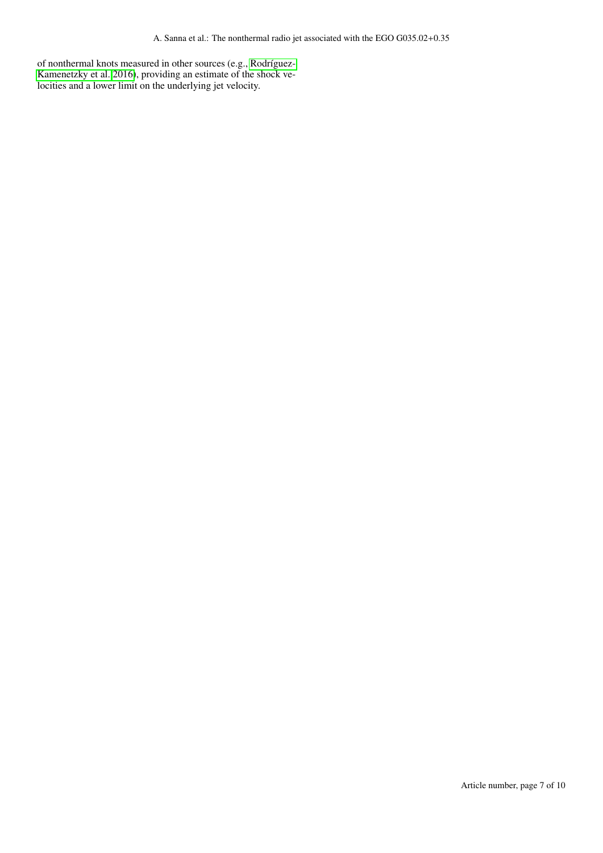of nonthermal knots measured in other sources (e.g., [Rodríguez-](#page-4-6)[Kamenetzky et al. 2016\)](#page-4-6), providing an estimate of the shock velocities and a lower limit on the underlying jet velocity.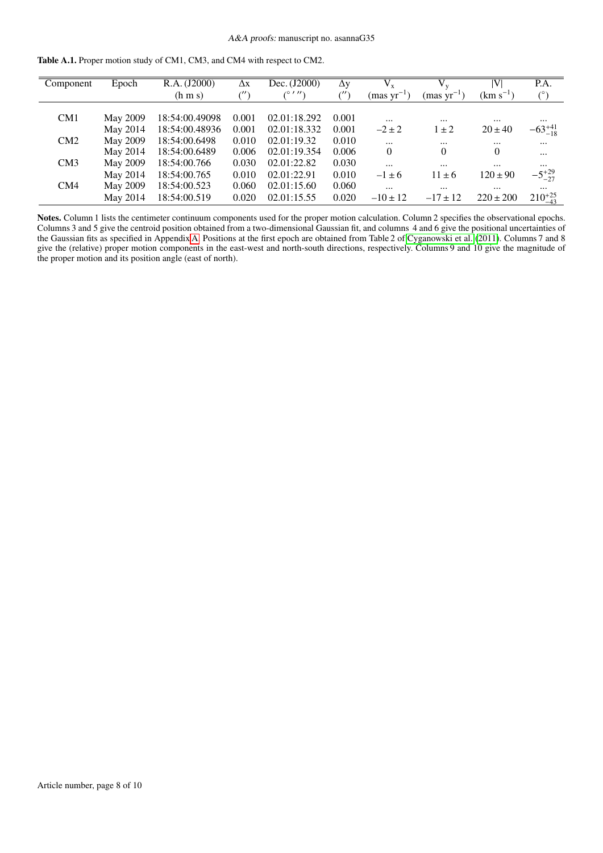<span id="page-7-0"></span>

| <b>Table A.1.</b> Proper motion study of CM1, CM3, and CM4 with respect to CM2. |  |  |  |
|---------------------------------------------------------------------------------|--|--|--|
|---------------------------------------------------------------------------------|--|--|--|

| Component       | Epoch           | R.A. (J2000)    | $\Delta x$          | Dec. (J2000) | $\Delta y$            | $\overline{V_x}$      |                 | VI            | P.A.              |
|-----------------|-----------------|-----------------|---------------------|--------------|-----------------------|-----------------------|-----------------|---------------|-------------------|
|                 |                 | $(h \, m \, s)$ | $(^{\prime\prime})$ | (0111)       | $\ell^{\prime\prime}$ | ${\rm (mas~yr^{-1})}$ | $(mas yr^{-1})$ | $(km s^{-1})$ | (°)               |
|                 |                 |                 |                     |              |                       |                       |                 |               |                   |
| CM <sub>1</sub> | <b>May 2009</b> | 18:54:00.49098  | 0.001               | 02.01:18.292 | 0.001                 | $\cdots$              | $\cdots$        | $\cdots$      | $\cdots$          |
|                 | May 2014        | 18:54:00.48936  | 0.001               | 02.01:18.332 | 0.001                 | $-2 \pm 2$            | $\pm 2$         | $20 \pm 40$   | $-63^{+41}_{-18}$ |
| CM2             | May 2009        | 18:54:00.6498   | 0.010               | 02.01:19.32  | 0.010                 | $\cdots$              | $\cdots$        | $\cdots$      | $\cdots$          |
|                 | May 2014        | 18:54:00.6489   | 0.006               | 02.01:19.354 | 0.006                 | $\overline{0}$        | $\theta$        | $\theta$      | $\cdots$          |
| CM3             | May 2009        | 18:54:00.766    | 0.030               | 02.01:22.82  | 0.030                 | $\cdots$              | $\cdots$        | $\cdots$      | $\cdots$          |
|                 | May 2014        | 18:54:00.765    | 0.010               | 02.01:22.91  | 0.010                 | $-1 \pm 6$            | $11 \pm 6$      | $120 \pm 90$  | $-5^{+29}_{-27}$  |
| CM4             | May 2009        | 18:54:00.523    | 0.060               | 02.01:15.60  | 0.060                 | $\cdots$              | $\cdots$        | $\cdots$      | $\cdots$          |
|                 | May 2014        | 18:54:00.519    | 0.020               | 02.01:15.55  | 0.020                 | $-10 \pm 12$          | $-17 \pm 12$    | $220 \pm 200$ | $210^{+25}_{-43}$ |

Notes. Column 1 lists the centimeter continuum components used for the proper motion calculation. Column 2 specifies the observational epochs. Columns 3 and 5 give the centroid position obtained from a two-dimensional Gaussian fit, and columns 4 and 6 give the positional uncertainties of the Gaussian fits as specified in Appendix [A.](#page-4-25) Positions at the first epoch are obtained from Table 2 of [Cyganowski et al.](#page-4-22) [\(2011\)](#page-4-22). Columns 7 and 8 give the (relative) proper motion components in the east-west and north-south directions, respectively. Columns 9 and 10 give the magnitude of the proper motion and its position angle (east of north).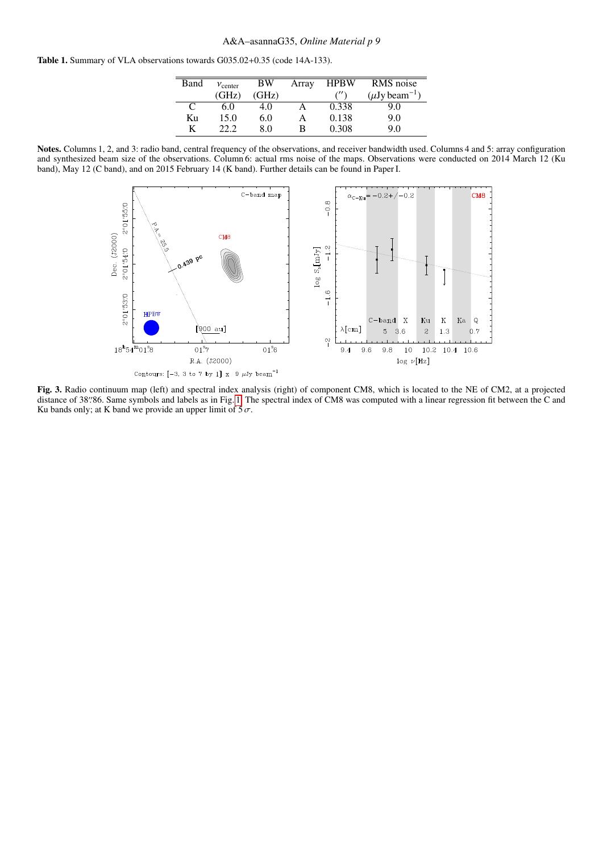<span id="page-8-1"></span>Table 1. Summary of VLA observations towards G035.02+0.35 (code 14A-133).

| Band | $v_{\text{center}}$ | BW    | Array | <b>HPBW</b>             | RMS noise            |
|------|---------------------|-------|-------|-------------------------|----------------------|
|      | (GHz)               | (GHz) |       | $^{\prime\prime\prime}$ | $(\mu Jy beam^{-1})$ |
| C    | 6.0                 | 4.0   |       | 0.338                   | 9.0                  |
| Кu   | 15.0                | 6.0   |       | 0.138                   | 9.0                  |
| K    | 22.2                | 80    | в     | 0.308                   | 90                   |

Notes. Columns 1, 2, and 3: radio band, central frequency of the observations, and receiver bandwidth used. Columns 4 and 5: array configuration and synthesized beam size of the observations. Column 6: actual rms noise of the maps. Observations were conducted on 2014 March 12 (Ku band), May 12 (C band), and on 2015 February 14 (K band). Further details can be found in Paper I.



<span id="page-8-0"></span>Fig. 3. Radio continuum map (left) and spectral index analysis (right) of component CM8, which is located to the NE of CM2, at a projected distance of 38'86. Same symbols and labels as in Fig. [1.](#page-1-0) The spectral index of CM8 was computed with a linear regression fit between the C and Ku bands only: at K band we provide an upper limit of 5  $\sigma$ Ku bands only; at K band we provide an upper limit of  $5\sigma$ .